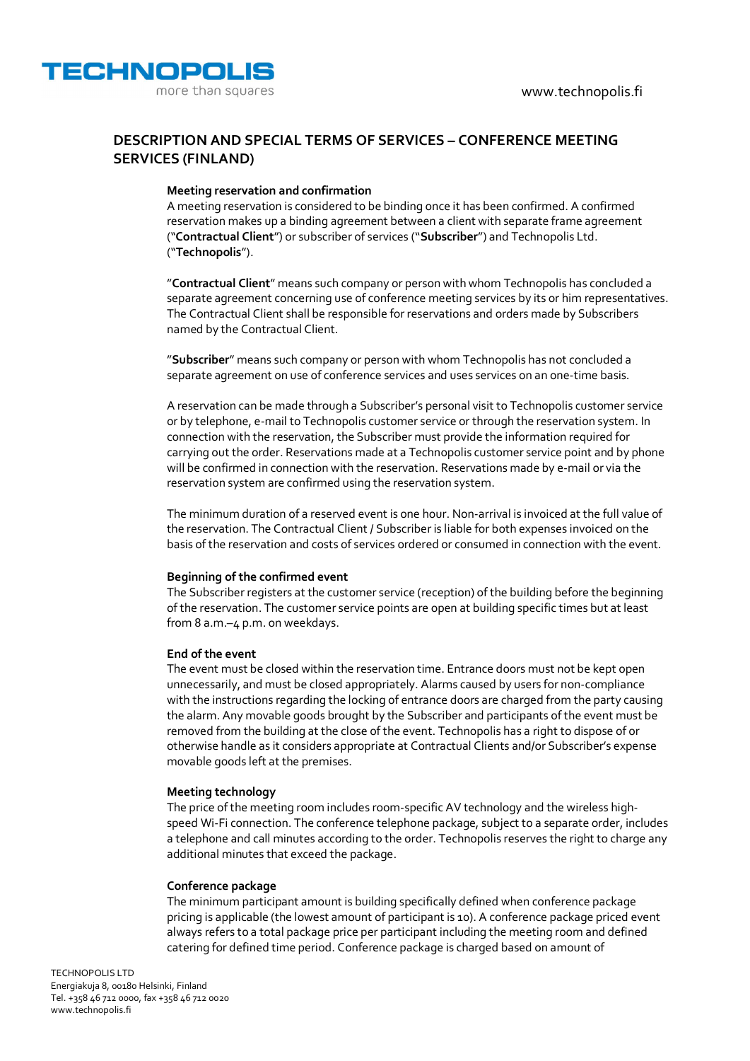



# **DESCRIPTION AND SPECIAL TERMS OF SERVICES – CONFERENCE MEETING SERVICES (FINLAND)**

## **Meeting reservation and confirmation**

A meeting reservation is considered to be binding once it has been confirmed. A confirmed reservation makes up a binding agreement between a client with separate frame agreement ("**Contractual Client**") or subscriber of services ("**Subscriber**") and Technopolis Ltd. ("**Technopolis**").

"**Contractual Client**" means such company or person with whom Technopolis has concluded a separate agreement concerning use of conference meeting services by its or him representatives. The Contractual Client shall be responsible for reservations and orders made by Subscribers named by the Contractual Client.

"**Subscriber**" means such company or person with whom Technopolis has not concluded a separate agreement on use of conference services and uses services on an one-time basis.

A reservation can be made through a Subscriber's personal visit to Technopolis customer service or by telephone, e-mail to Technopolis customer service or through the reservation system. In connection with the reservation, the Subscriber must provide the information required for carrying out the order. Reservations made at a Technopolis customer service point and by phone will be confirmed in connection with the reservation. Reservations made by e-mail or via the reservation system are confirmed using the reservation system.

The minimum duration of a reserved event is one hour. Non-arrival is invoiced at the full value of the reservation. The Contractual Client / Subscriber is liable for both expenses invoiced on the basis of the reservation and costs of services ordered or consumed in connection with the event.

## **Beginning of the confirmed event**

The Subscriber registers at the customer service (reception) of the building before the beginning of the reservation. The customer service points are open at building specific times but at least from 8 a.m.–4 p.m. on weekdays.

### **End of the event**

The event must be closed within the reservation time. Entrance doors must not be kept open unnecessarily, and must be closed appropriately. Alarms caused by users for non-compliance with the instructions regarding the locking of entrance doors are charged from the party causing the alarm. Any movable goods brought by the Subscriber and participants of the event must be removed from the building at the close of the event. Technopolis has a right to dispose of or otherwise handle as it considers appropriate at Contractual Clients and/or Subscriber's expense movable goods left at the premises.

### **Meeting technology**

The price of the meeting room includes room-specific AV technology and the wireless highspeed Wi-Fi connection. The conference telephone package, subject to a separate order, includes a telephone and call minutes according to the order. Technopolis reserves the right to charge any additional minutes that exceed the package.

### **Conference package**

The minimum participant amount is building specifically defined when conference package pricing is applicable (the lowest amount of participant is 10). A conference package priced event always refers to a total package price per participant including the meeting room and defined catering for defined time period. Conference package is charged based on amount of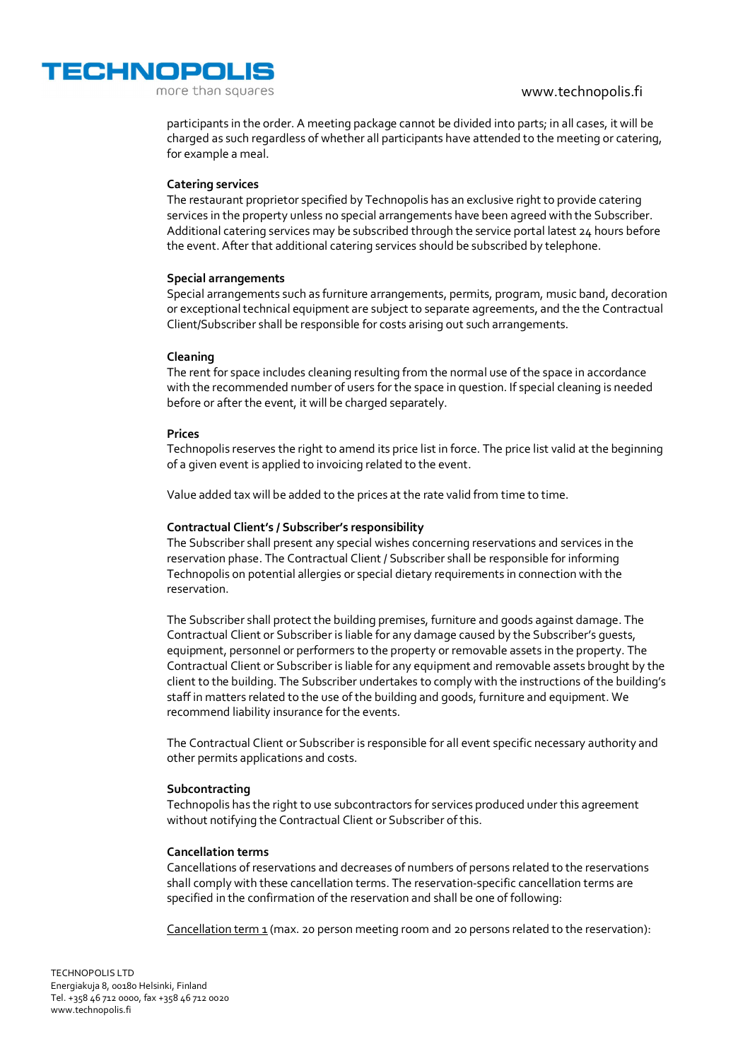www.technopolis.fi



more than squares

participants in the order. A meeting package cannot be divided into parts; in all cases, it will be charged as such regardless of whether all participants have attended to the meeting or catering, for example a meal.

## **Catering services**

The restaurant proprietor specified by Technopolis has an exclusive right to provide catering services in the property unless no special arrangements have been agreed with the Subscriber. Additional catering services may be subscribed through the service portal latest 24 hours before the event. After that additional catering services should be subscribed by telephone.

### **Special arrangements**

Special arrangements such as furniture arrangements, permits, program, music band, decoration or exceptional technical equipment are subject to separate agreements, and the the Contractual Client/Subscriber shall be responsible for costs arising out such arrangements.

## **Cleaning**

The rent for space includes cleaning resulting from the normal use of the space in accordance with the recommended number of users for the space in question. If special cleaning is needed before or after the event, it will be charged separately.

## **Prices**

Technopolis reserves the right to amend its price list in force. The price list valid at the beginning of a given event is applied to invoicing related to the event.

Value added tax will be added to the prices at the rate valid from time to time.

## **Contractual Client's / Subscriber's responsibility**

The Subscriber shall present any special wishes concerning reservations and services in the reservation phase. The Contractual Client / Subscriber shall be responsible for informing Technopolis on potential allergies or special dietary requirements in connection with the reservation.

The Subscriber shall protect the building premises, furniture and goods against damage. The Contractual Client or Subscriber is liable for any damage caused by the Subscriber's guests, equipment, personnel or performers to the property or removable assets in the property. The Contractual Client or Subscriber is liable for any equipment and removable assets brought by the client to the building. The Subscriber undertakes to comply with the instructions of the building's staff in matters related to the use of the building and goods, furniture and equipment. We recommend liability insurance for the events.

The Contractual Client or Subscriber is responsible for all event specific necessary authority and other permits applications and costs.

# **Subcontracting**

Technopolis has the right to use subcontractors for services produced under this agreement without notifying the Contractual Client or Subscriber of this.

### **Cancellation terms**

Cancellations of reservations and decreases of numbers of persons related to the reservations shall comply with these cancellation terms. The reservation-specific cancellation terms are specified in the confirmation of the reservation and shall be one of following:

Cancellation term  $1$  (max. 20 person meeting room and 20 persons related to the reservation):